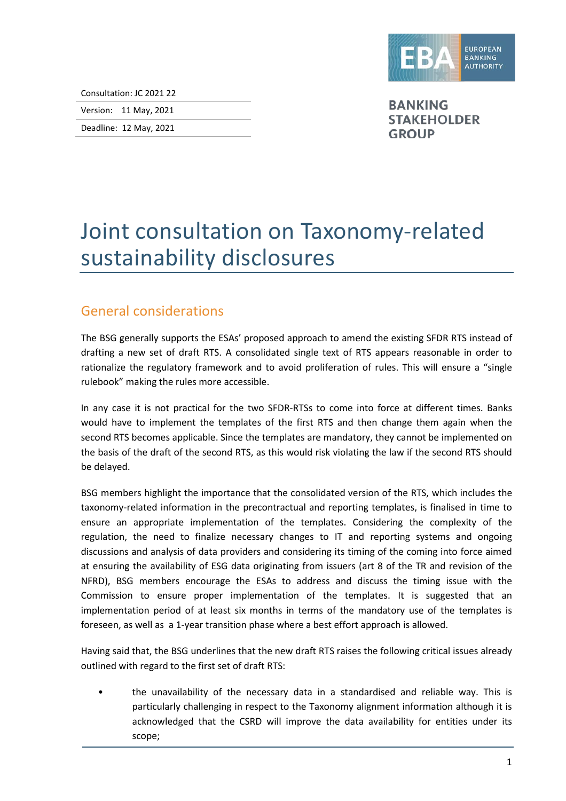

Consultation: JC 2021 22

Version: 11 May, 2021

Deadline: 12 May, 2021

**BANKING STAKEHOLDER GROUP** 

## Joint consultation on Taxonomy-related sustainability disclosures

## General considerations

The BSG generally supports the ESAs' proposed approach to amend the existing SFDR RTS instead of drafting a new set of draft RTS. A consolidated single text of RTS appears reasonable in order to rationalize the regulatory framework and to avoid proliferation of rules. This will ensure a "single rulebook" making the rules more accessible.

In any case it is not practical for the two SFDR-RTSs to come into force at different times. Banks would have to implement the templates of the first RTS and then change them again when the second RTS becomes applicable. Since the templates are mandatory, they cannot be implemented on the basis of the draft of the second RTS, as this would risk violating the law if the second RTS should be delayed.

BSG members highlight the importance that the consolidated version of the RTS, which includes the taxonomy-related information in the precontractual and reporting templates, is finalised in time to ensure an appropriate implementation of the templates. Considering the complexity of the regulation, the need to finalize necessary changes to IT and reporting systems and ongoing discussions and analysis of data providers and considering its timing of the coming into force aimed at ensuring the availability of ESG data originating from issuers (art 8 of the TR and revision of the NFRD), BSG members encourage the ESAs to address and discuss the timing issue with the Commission to ensure proper implementation of the templates. It is suggested that an implementation period of at least six months in terms of the mandatory use of the templates is foreseen, as well as a 1-year transition phase where a best effort approach is allowed.

Having said that, the BSG underlines that the new draft RTS raises the following critical issues already outlined with regard to the first set of draft RTS:

• the unavailability of the necessary data in a standardised and reliable way. This is particularly challenging in respect to the Taxonomy alignment information although it is acknowledged that the CSRD will improve the data availability for entities under its scope;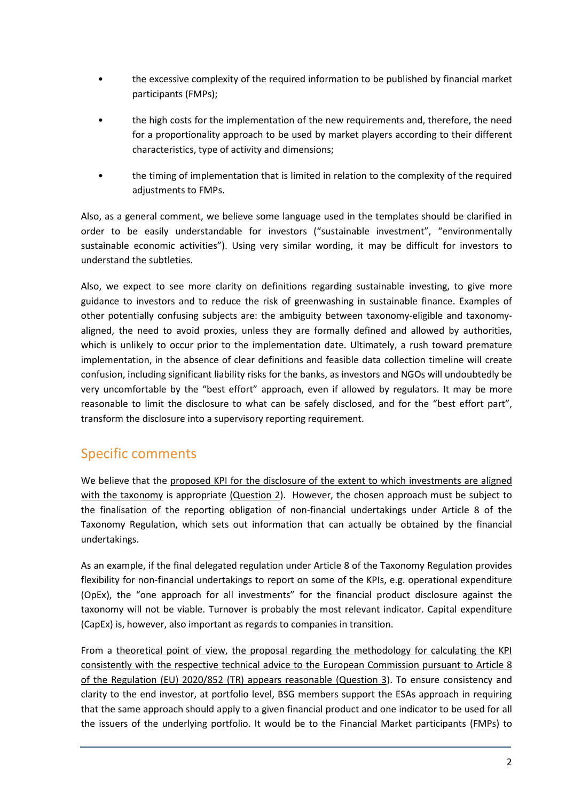- the excessive complexity of the required information to be published by financial market participants (FMPs);
- the high costs for the implementation of the new requirements and, therefore, the need for a proportionality approach to be used by market players according to their different characteristics, type of activity and dimensions;
- the timing of implementation that is limited in relation to the complexity of the required adjustments to FMPs.

Also, as a general comment, we believe some language used in the templates should be clarified in order to be easily understandable for investors ("sustainable investment", "environmentally sustainable economic activities"). Using very similar wording, it may be difficult for investors to understand the subtleties.

Also, we expect to see more clarity on definitions regarding sustainable investing, to give more guidance to investors and to reduce the risk of greenwashing in sustainable finance. Examples of other potentially confusing subjects are: the ambiguity between taxonomy-eligible and taxonomyaligned, the need to avoid proxies, unless they are formally defined and allowed by authorities, which is unlikely to occur prior to the implementation date. Ultimately, a rush toward premature implementation, in the absence of clear definitions and feasible data collection timeline will create confusion, including significant liability risks for the banks, as investors and NGOs will undoubtedly be very uncomfortable by the "best effort" approach, even if allowed by regulators. It may be more reasonable to limit the disclosure to what can be safely disclosed, and for the "best effort part", transform the disclosure into a supervisory reporting requirement.

## Specific comments

We believe that the proposed KPI for the disclosure of the extent to which investments are aligned with the taxonomy is appropriate (Question 2). However, the chosen approach must be subject to the finalisation of the reporting obligation of non-financial undertakings under Article 8 of the Taxonomy Regulation, which sets out information that can actually be obtained by the financial undertakings.

As an example, if the final delegated regulation under Article 8 of the Taxonomy Regulation provides flexibility for non-financial undertakings to report on some of the KPIs, e.g. operational expenditure (OpEx), the "one approach for all investments" for the financial product disclosure against the taxonomy will not be viable. Turnover is probably the most relevant indicator. Capital expenditure (CapEx) is, however, also important as regards to companies in transition.

From a theoretical point of view, the proposal regarding the methodology for calculating the KPI consistently with the respective technical advice to the European Commission pursuant to Article 8 of the Regulation (EU) 2020/852 (TR) appears reasonable (Question 3). To ensure consistency and clarity to the end investor, at portfolio level, BSG members support the ESAs approach in requiring that the same approach should apply to a given financial product and one indicator to be used for all the issuers of the underlying portfolio. It would be to the Financial Market participants (FMPs) to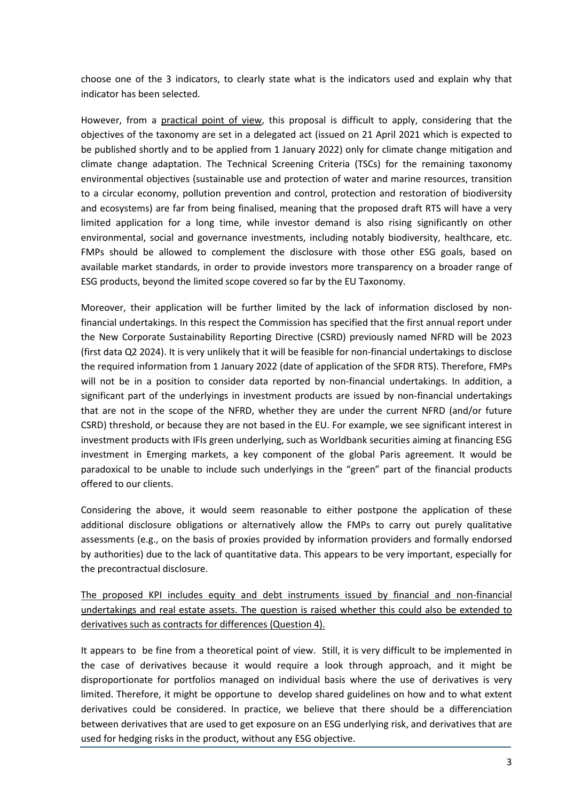choose one of the 3 indicators, to clearly state what is the indicators used and explain why that indicator has been selected.

However, from a practical point of view, this proposal is difficult to apply, considering that the objectives of the taxonomy are set in a delegated act (issued on 21 April 2021 which is expected to be published shortly and to be applied from 1 January 2022) only for climate change mitigation and climate change adaptation. The Technical Screening Criteria (TSCs) for the remaining taxonomy environmental objectives (sustainable use and protection of water and marine resources, transition to a circular economy, pollution prevention and control, protection and restoration of biodiversity and ecosystems) are far from being finalised, meaning that the proposed draft RTS will have a very limited application for a long time, while investor demand is also rising significantly on other environmental, social and governance investments, including notably biodiversity, healthcare, etc. FMPs should be allowed to complement the disclosure with those other ESG goals, based on available market standards, in order to provide investors more transparency on a broader range of ESG products, beyond the limited scope covered so far by the EU Taxonomy.

Moreover, their application will be further limited by the lack of information disclosed by nonfinancial undertakings. In this respect the Commission has specified that the first annual report under the New Corporate Sustainability Reporting Directive (CSRD) previously named NFRD will be 2023 (first data Q2 2024). It is very unlikely that it will be feasible for non-financial undertakings to disclose the required information from 1 January 2022 (date of application of the SFDR RTS). Therefore, FMPs will not be in a position to consider data reported by non-financial undertakings. In addition, a significant part of the underlyings in investment products are issued by non-financial undertakings that are not in the scope of the NFRD, whether they are under the current NFRD (and/or future CSRD) threshold, or because they are not based in the EU. For example, we see significant interest in investment products with IFIs green underlying, such as Worldbank securities aiming at financing ESG investment in Emerging markets, a key component of the global Paris agreement. It would be paradoxical to be unable to include such underlyings in the "green" part of the financial products offered to our clients.

Considering the above, it would seem reasonable to either postpone the application of these additional disclosure obligations or alternatively allow the FMPs to carry out purely qualitative assessments (e.g., on the basis of proxies provided by information providers and formally endorsed by authorities) due to the lack of quantitative data. This appears to be very important, especially for the precontractual disclosure.

The proposed KPI includes equity and debt instruments issued by financial and non-financial undertakings and real estate assets. The question is raised whether this could also be extended to derivatives such as contracts for differences (Question 4).

It appears to be fine from a theoretical point of view. Still, it is very difficult to be implemented in the case of derivatives because it would require a look through approach, and it might be disproportionate for portfolios managed on individual basis where the use of derivatives is very limited. Therefore, it might be opportune to develop shared guidelines on how and to what extent derivatives could be considered. In practice, we believe that there should be a differenciation between derivatives that are used to get exposure on an ESG underlying risk, and derivatives that are used for hedging risks in the product, without any ESG objective.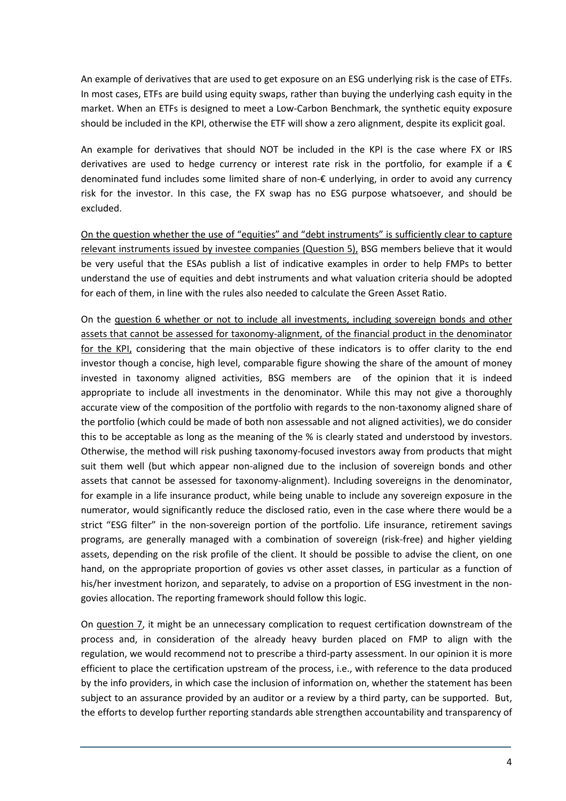An example of derivatives that are used to get exposure on an ESG underlying risk is the case of ETFs. In most cases, ETFs are build using equity swaps, rather than buying the underlying cash equity in the market. When an ETFs is designed to meet a Low-Carbon Benchmark, the synthetic equity exposure should be included in the KPI, otherwise the ETF will show a zero alignment, despite its explicit goal.

An example for derivatives that should NOT be included in the KPI is the case where FX or IRS derivatives are used to hedge currency or interest rate risk in the portfolio, for example if a  $\epsilon$ denominated fund includes some limited share of non-€ underlying, in order to avoid any currency risk for the investor. In this case, the FX swap has no ESG purpose whatsoever, and should be excluded.

On the question whether the use of "equities" and "debt instruments" is sufficiently clear to capture relevant instruments issued by investee companies (Question 5), BSG members believe that it would be very useful that the ESAs publish a list of indicative examples in order to help FMPs to better understand the use of equities and debt instruments and what valuation criteria should be adopted for each of them, in line with the rules also needed to calculate the Green Asset Ratio.

On the question 6 whether or not to include all investments, including sovereign bonds and other assets that cannot be assessed for taxonomy-alignment, of the financial product in the denominator for the KPI, considering that the main objective of these indicators is to offer clarity to the end investor though a concise, high level, comparable figure showing the share of the amount of money invested in taxonomy aligned activities, BSG members are of the opinion that it is indeed appropriate to include all investments in the denominator. While this may not give a thoroughly accurate view of the composition of the portfolio with regards to the non-taxonomy aligned share of the portfolio (which could be made of both non assessable and not aligned activities), we do consider this to be acceptable as long as the meaning of the % is clearly stated and understood by investors. Otherwise, the method will risk pushing taxonomy-focused investors away from products that might suit them well (but which appear non-aligned due to the inclusion of sovereign bonds and other assets that cannot be assessed for taxonomy-alignment). Including sovereigns in the denominator, for example in a life insurance product, while being unable to include any sovereign exposure in the numerator, would significantly reduce the disclosed ratio, even in the case where there would be a strict "ESG filter" in the non-sovereign portion of the portfolio. Life insurance, retirement savings programs, are generally managed with a combination of sovereign (risk-free) and higher yielding assets, depending on the risk profile of the client. It should be possible to advise the client, on one hand, on the appropriate proportion of govies vs other asset classes, in particular as a function of his/her investment horizon, and separately, to advise on a proportion of ESG investment in the nongovies allocation. The reporting framework should follow this logic.

On question 7, it might be an unnecessary complication to request certification downstream of the process and, in consideration of the already heavy burden placed on FMP to align with the regulation, we would recommend not to prescribe a third-party assessment. In our opinion it is more efficient to place the certification upstream of the process, i.e., with reference to the data produced by the info providers, in which case the inclusion of information on, whether the statement has been subject to an assurance provided by an auditor or a review by a third party, can be supported. But, the efforts to develop further reporting standards able strengthen accountability and transparency of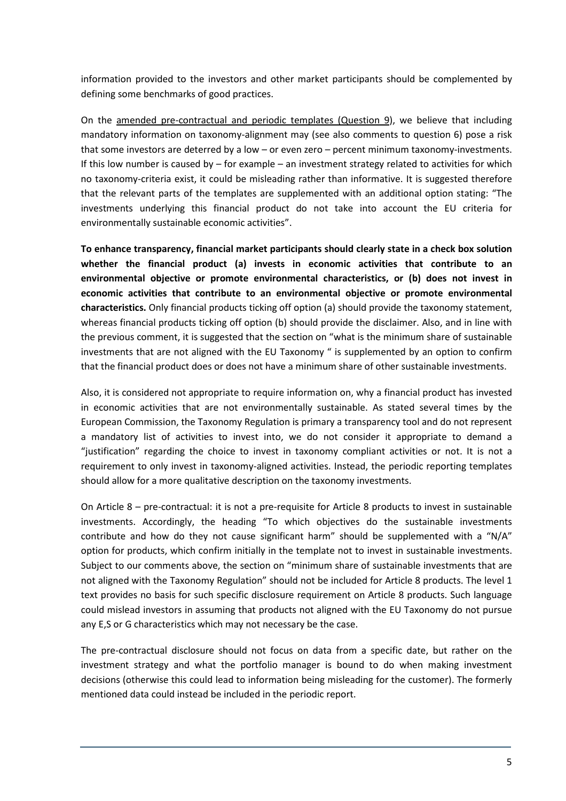information provided to the investors and other market participants should be complemented by defining some benchmarks of good practices.

On the amended pre-contractual and periodic templates (Question 9), we believe that including mandatory information on taxonomy-alignment may (see also comments to question 6) pose a risk that some investors are deterred by a low – or even zero – percent minimum taxonomy-investments. If this low number is caused by – for example – an investment strategy related to activities for which no taxonomy-criteria exist, it could be misleading rather than informative. It is suggested therefore that the relevant parts of the templates are supplemented with an additional option stating: "The investments underlying this financial product do not take into account the EU criteria for environmentally sustainable economic activities".

**To enhance transparency, financial market participants should clearly state in a check box solution whether the financial product (a) invests in economic activities that contribute to an environmental objective or promote environmental characteristics, or (b) does not invest in economic activities that contribute to an environmental objective or promote environmental characteristics.** Only financial products ticking off option (a) should provide the taxonomy statement, whereas financial products ticking off option (b) should provide the disclaimer. Also, and in line with the previous comment, it is suggested that the section on "what is the minimum share of sustainable investments that are not aligned with the EU Taxonomy " is supplemented by an option to confirm that the financial product does or does not have a minimum share of other sustainable investments.

Also, it is considered not appropriate to require information on, why a financial product has invested in economic activities that are not environmentally sustainable. As stated several times by the European Commission, the Taxonomy Regulation is primary a transparency tool and do not represent a mandatory list of activities to invest into, we do not consider it appropriate to demand a "justification" regarding the choice to invest in taxonomy compliant activities or not. It is not a requirement to only invest in taxonomy-aligned activities. Instead, the periodic reporting templates should allow for a more qualitative description on the taxonomy investments.

On Article 8 – pre-contractual: it is not a pre-requisite for Article 8 products to invest in sustainable investments. Accordingly, the heading "To which objectives do the sustainable investments contribute and how do they not cause significant harm" should be supplemented with a "N/A" option for products, which confirm initially in the template not to invest in sustainable investments. Subject to our comments above, the section on "minimum share of sustainable investments that are not aligned with the Taxonomy Regulation" should not be included for Article 8 products. The level 1 text provides no basis for such specific disclosure requirement on Article 8 products. Such language could mislead investors in assuming that products not aligned with the EU Taxonomy do not pursue any E,S or G characteristics which may not necessary be the case.

The pre-contractual disclosure should not focus on data from a specific date, but rather on the investment strategy and what the portfolio manager is bound to do when making investment decisions (otherwise this could lead to information being misleading for the customer). The formerly mentioned data could instead be included in the periodic report.